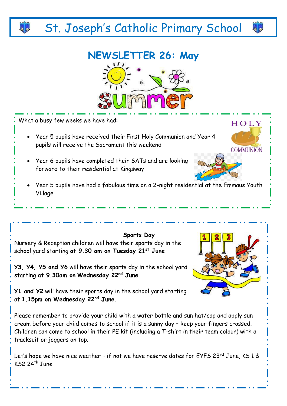## St. Joseph's Catholic Primary School

## **NEWSLETTER 26: May**



What a busy few weeks we have had:

 $KS2$  24<sup>th</sup> June

- Year 5 pupils have received their First Holy Communion and Year 4 pupils will receive the Sacrament this weekend
- Year 6 pupils have completed their SATs and are looking forward to their residential at Kingsway
- Year 5 pupils have had a fabulous time on a 2-night residential at the Emmaus Youth Village





**COMMUNION** 

HOLY

46